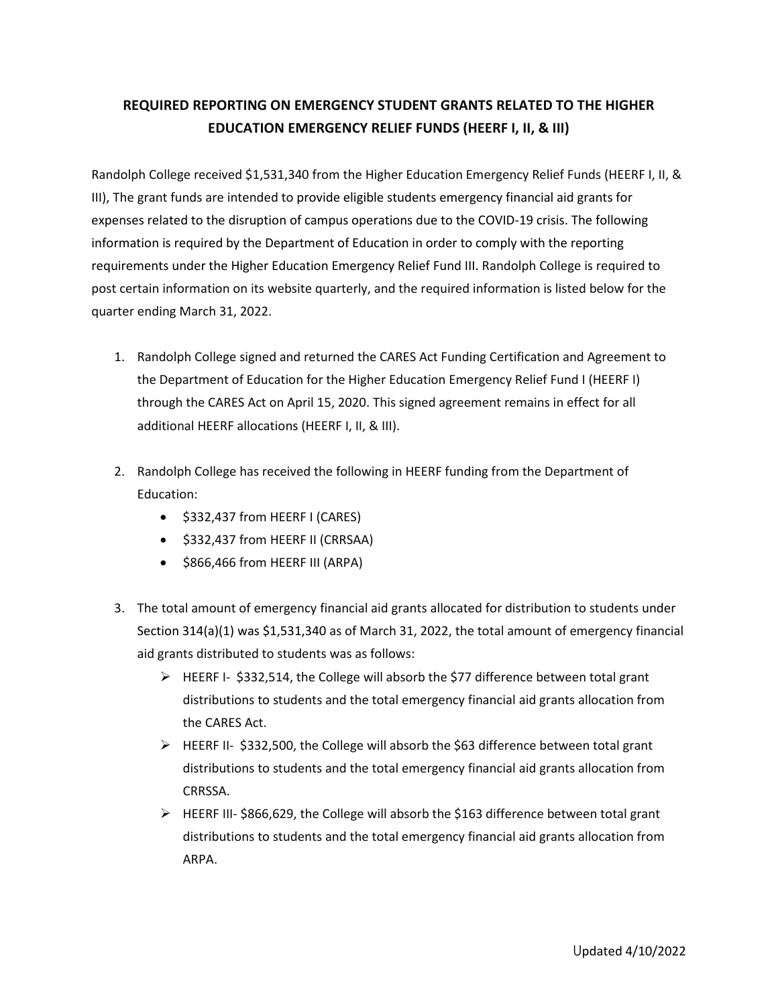## **REQUIRED REPORTING ON EMERGENCY STUDENT GRANTS RELATED TO THE HIGHER EDUCATION EMERGENCY RELIEF FUNDS (HEERF I, II, & III)**

Randolph College received \$1,531,340 from the Higher Education Emergency Relief Funds (HEERF I, II, & III), The grant funds are intended to provide eligible students emergency financial aid grants for expenses related to the disruption of campus operations due to the COVID-19 crisis. The following information is required by the Department of Education in order to comply with the reporting requirements under the Higher Education Emergency Relief Fund III. Randolph College is required to post certain information on its website quarterly, and the required information is listed below for the quarter ending March 31, 2022.

- 1. Randolph College signed and returned the CARES Act Funding Certification and Agreement to the Department of Education for the Higher Education Emergency Relief Fund I (HEERF I) through the CARES Act on April 15, 2020. This signed agreement remains in effect for all additional HEERF allocations (HEERF I, II, & III).
- 2. Randolph College has received the following in HEERF funding from the Department of Education:
	- \$332,437 from HEERF I (CARES)
	- \$332,437 from HEERF II (CRRSAA)
	- \$866,466 from HEERF III (ARPA)
- 3. The total amount of emergency financial aid grants allocated for distribution to students under Section 314(a)(1) was \$1,531,340 as of March 31, 2022, the total amount of emergency financial aid grants distributed to students was as follows:
	- $\triangleright$  HEERF I- \$332,514, the College will absorb the \$77 difference between total grant distributions to students and the total emergency financial aid grants allocation from the CARES Act.
	- $\triangleright$  HEERF II- \$332,500, the College will absorb the \$63 difference between total grant distributions to students and the total emergency financial aid grants allocation from CRRSSA.
	- $\triangleright$  HEERF III- \$866,629, the College will absorb the \$163 difference between total grant distributions to students and the total emergency financial aid grants allocation from ARPA.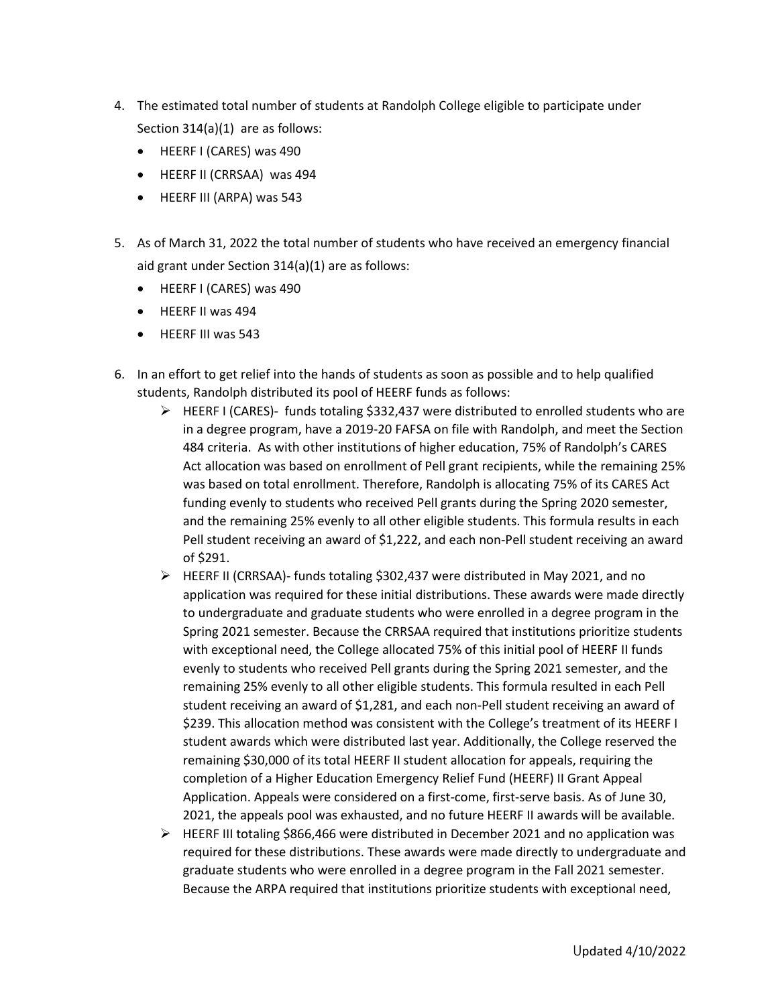- 4. The estimated total number of students at Randolph College eligible to participate under Section 314(a)(1) are as follows:
	- HEERF I (CARES) was 490
	- HEERF II (CRRSAA) was 494
	- HEERF III (ARPA) was 543
- 5. As of March 31, 2022 the total number of students who have received an emergency financial aid grant under Section 314(a)(1) are as follows:
	- HEERF I (CARES) was 490
	- HEERF II was 494
	- HEERF III was 543
- 6. In an effort to get relief into the hands of students as soon as possible and to help qualified students, Randolph distributed its pool of HEERF funds as follows:
	- $\triangleright$  HEERF I (CARES)- funds totaling \$332,437 were distributed to enrolled students who are in a degree program, have a 2019-20 FAFSA on file with Randolph, and meet the Section 484 criteria. As with other institutions of higher education, 75% of Randolph's CARES Act allocation was based on enrollment of Pell grant recipients, while the remaining 25% was based on total enrollment. Therefore, Randolph is allocating 75% of its CARES Act funding evenly to students who received Pell grants during the Spring 2020 semester, and the remaining 25% evenly to all other eligible students. This formula results in each Pell student receiving an award of \$1,222, and each non-Pell student receiving an award of \$291.
	- HEERF II (CRRSAA)- funds totaling \$302,437 were distributed in May 2021, and no application was required for these initial distributions. These awards were made directly to undergraduate and graduate students who were enrolled in a degree program in the Spring 2021 semester. Because the CRRSAA required that institutions prioritize students with exceptional need, the College allocated 75% of this initial pool of HEERF II funds evenly to students who received Pell grants during the Spring 2021 semester, and the remaining 25% evenly to all other eligible students. This formula resulted in each Pell student receiving an award of \$1,281, and each non-Pell student receiving an award of \$239. This allocation method was consistent with the College's treatment of its HEERF I student awards which were distributed last year. Additionally, the College reserved the remaining \$30,000 of its total HEERF II student allocation for appeals, requiring the completion of a Higher Education Emergency Relief Fund (HEERF) II Grant Appeal Application. Appeals were considered on a first-come, first-serve basis. As of June 30, 2021, the appeals pool was exhausted, and no future HEERF II awards will be available.
	- $\triangleright$  HEERF III totaling \$866,466 were distributed in December 2021 and no application was required for these distributions. These awards were made directly to undergraduate and graduate students who were enrolled in a degree program in the Fall 2021 semester. Because the ARPA required that institutions prioritize students with exceptional need,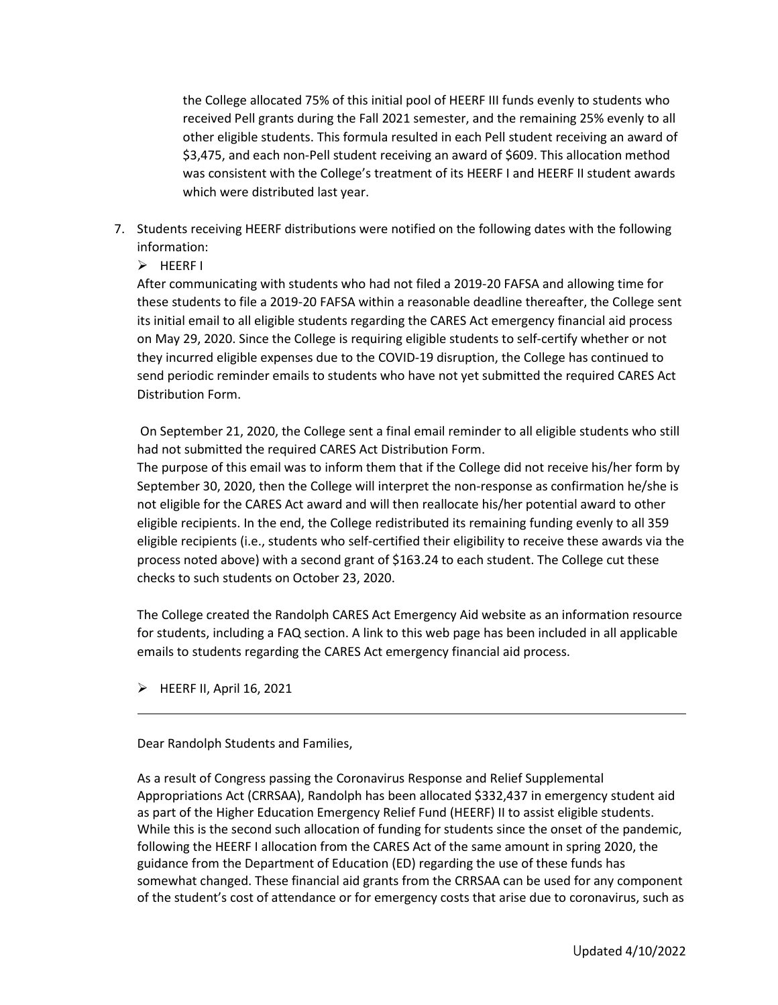the College allocated 75% of this initial pool of HEERF III funds evenly to students who received Pell grants during the Fall 2021 semester, and the remaining 25% evenly to all other eligible students. This formula resulted in each Pell student receiving an award of \$3,475, and each non-Pell student receiving an award of \$609. This allocation method was consistent with the College's treatment of its HEERF I and HEERF II student awards which were distributed last year.

- 7. Students receiving HEERF distributions were notified on the following dates with the following information:
	- $\triangleright$  HEERF I

After communicating with students who had not filed a 2019-20 FAFSA and allowing time for these students to file a 2019-20 FAFSA within a reasonable deadline thereafter, the College sent its initial email to all eligible students regarding the CARES Act emergency financial aid process on May 29, 2020. Since the College is requiring eligible students to self-certify whether or not they incurred eligible expenses due to the COVID-19 disruption, the College has continued to send periodic reminder emails to students who have not yet submitted the required CARES Act Distribution Form.

On September 21, 2020, the College sent a final email reminder to all eligible students who still had not submitted the required CARES Act Distribution Form.

The purpose of this email was to inform them that if the College did not receive his/her form by September 30, 2020, then the College will interpret the non-response as confirmation he/she is not eligible for the CARES Act award and will then reallocate his/her potential award to other eligible recipients. In the end, the College redistributed its remaining funding evenly to all 359 eligible recipients (i.e., students who self-certified their eligibility to receive these awards via the process noted above) with a second grant of \$163.24 to each student. The College cut these checks to such students on October 23, 2020.

The College created the Randolph CARES Act Emergency Aid website as an information resource for students, including a FAQ section. A link to this web page has been included in all applicable emails to students regarding the CARES Act emergency financial aid process.

 $\triangleright$  HEERF II, April 16, 2021

Dear Randolph Students and Families,

As a result of Congress passing the Coronavirus Response and Relief Supplemental Appropriations Act (CRRSAA), Randolph has been allocated \$332,437 in emergency student aid as part of the Higher Education Emergency Relief Fund (HEERF) II to assist eligible students. While this is the second such allocation of funding for students since the onset of the pandemic, following the HEERF I allocation from the CARES Act of the same amount in spring 2020, the guidance from the Department of Education (ED) regarding the use of these funds has somewhat changed. These financial aid grants from the CRRSAA can be used for any component of the student's cost of attendance or for emergency costs that arise due to coronavirus, such as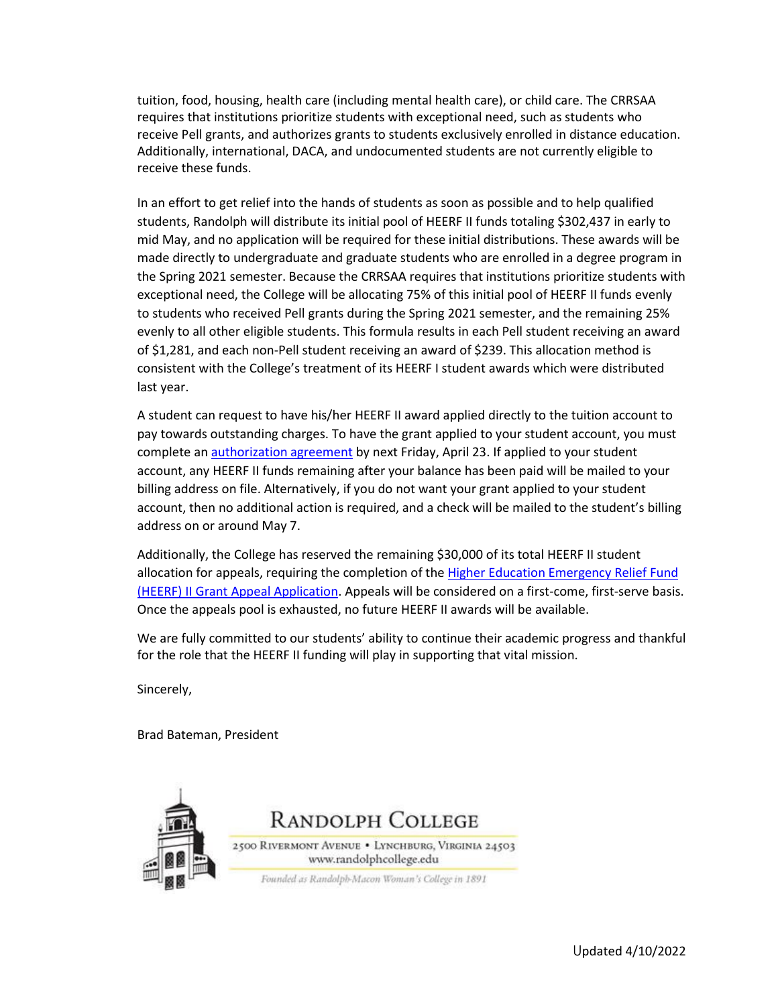tuition, food, housing, health care (including mental health care), or child care. The CRRSAA requires that institutions prioritize students with exceptional need, such as students who receive Pell grants, and authorizes grants to students exclusively enrolled in distance education. Additionally, international, DACA, and undocumented students are not currently eligible to receive these funds.

In an effort to get relief into the hands of students as soon as possible and to help qualified students, Randolph will distribute its initial pool of HEERF II funds totaling \$302,437 in early to mid May, and no application will be required for these initial distributions. These awards will be made directly to undergraduate and graduate students who are enrolled in a degree program in the Spring 2021 semester. Because the CRRSAA requires that institutions prioritize students with exceptional need, the College will be allocating 75% of this initial pool of HEERF II funds evenly to students who received Pell grants during the Spring 2021 semester, and the remaining 25% evenly to all other eligible students. This formula results in each Pell student receiving an award of \$1,281, and each non-Pell student receiving an award of \$239. This allocation method is consistent with the College's treatment of its HEERF I student awards which were distributed last year.

A student can request to have his/her HEERF II award applied directly to the tuition account to pay towards outstanding charges. To have the grant applied to your student account, you must complete an [authorization agreement](https://docs.google.com/forms/d/e/1FAIpQLSfbMAZZHACheETrp7lDUrqmFXr2F5brEzkFkIxjYWwsXLhEYg/viewform?usp=sf_link) by next Friday, April 23. If applied to your student account, any HEERF II funds remaining after your balance has been paid will be mailed to your billing address on file. Alternatively, if you do not want your grant applied to your student account, then no additional action is required, and a check will be mailed to the student's billing address on or around May 7.

Additionally, the College has reserved the remaining \$30,000 of its total HEERF II student allocation for appeals, requiring the completion of the [Higher Education Emergency Relief Fund](https://docs.google.com/forms/d/e/1FAIpQLScc5zFQ2sMO50aRGQ3H84zC31XnuG3vZ7X2OKn2ZaaOPn_qxQ/viewform?usp=sf_link)  [\(HEERF\) II Grant Appeal Application.](https://docs.google.com/forms/d/e/1FAIpQLScc5zFQ2sMO50aRGQ3H84zC31XnuG3vZ7X2OKn2ZaaOPn_qxQ/viewform?usp=sf_link) Appeals will be considered on a first-come, first-serve basis. Once the appeals pool is exhausted, no future HEERF II awards will be available.

We are fully committed to our students' ability to continue their academic progress and thankful for the role that the HEERF II funding will play in supporting that vital mission.

Sincerely,

Brad Bateman, President

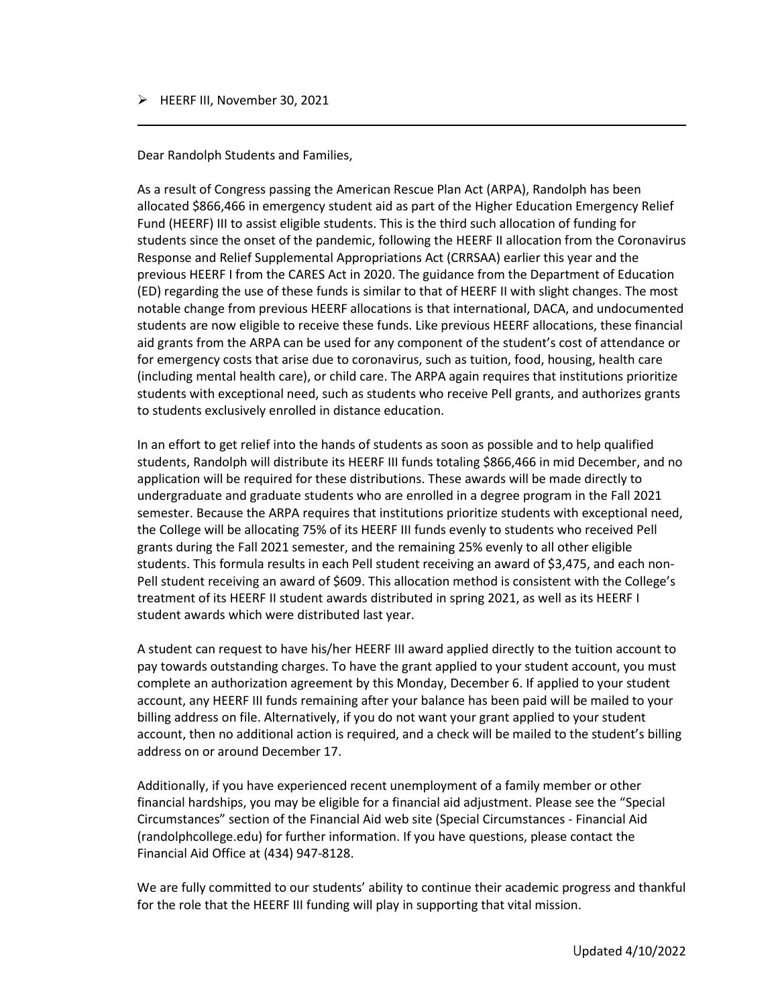## $\triangleright$  HEERF III, November 30, 2021

Dear Randolph Students and Families,

As a result of Congress passing the American Rescue Plan Act (ARPA), Randolph has been allocated \$866,466 in emergency student aid as part of the Higher Education Emergency Relief Fund (HEERF) III to assist eligible students. This is the third such allocation of funding for students since the onset of the pandemic, following the HEERF II allocation from the Coronavirus Response and Relief Supplemental Appropriations Act (CRRSAA) earlier this year and the previous HEERF I from the CARES Act in 2020. The guidance from the Department of Education (ED) regarding the use of these funds is similar to that of HEERF II with slight changes. The most notable change from previous HEERF allocations is that international, DACA, and undocumented students are now eligible to receive these funds. Like previous HEERF allocations, these financial aid grants from the ARPA can be used for any component of the student's cost of attendance or for emergency costs that arise due to coronavirus, such as tuition, food, housing, health care (including mental health care), or child care. The ARPA again requires that institutions prioritize students with exceptional need, such as students who receive Pell grants, and authorizes grants to students exclusively enrolled in distance education.

In an effort to get relief into the hands of students as soon as possible and to help qualified students, Randolph will distribute its HEERF III funds totaling \$866,466 in mid December, and no application will be required for these distributions. These awards will be made directly to undergraduate and graduate students who are enrolled in a degree program in the Fall 2021 semester. Because the ARPA requires that institutions prioritize students with exceptional need, the College will be allocating 75% of its HEERF III funds evenly to students who received Pell grants during the Fall 2021 semester, and the remaining 25% evenly to all other eligible students. This formula results in each Pell student receiving an award of \$3,475, and each non-Pell student receiving an award of \$609. This allocation method is consistent with the College's treatment of its HEERF II student awards distributed in spring 2021, as well as its HEERF I student awards which were distributed last year.

A student can request to have his/her HEERF III award applied directly to the tuition account to pay towards outstanding charges. To have the grant applied to your student account, you must complete an authorization agreement by this Monday, December 6. If applied to your student account, any HEERF III funds remaining after your balance has been paid will be mailed to your billing address on file. Alternatively, if you do not want your grant applied to your student account, then no additional action is required, and a check will be mailed to the student's billing address on or around December 17.

Additionally, if you have experienced recent unemployment of a family member or other financial hardships, you may be eligible for a financial aid adjustment. Please see the "Special Circumstances" section of the Financial Aid web site (Special Circumstances - Financial Aid (randolphcollege.edu) for further information. If you have questions, please contact the Financial Aid Office at (434) 947-8128.

We are fully committed to our students' ability to continue their academic progress and thankful for the role that the HEERF III funding will play in supporting that vital mission.